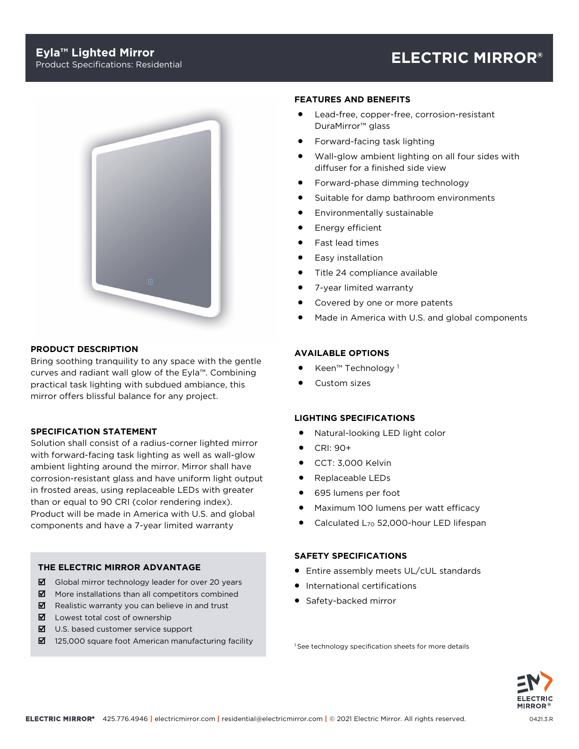# **Eyla™ Lighted Mirror**

# Product Specifications: Residential **ELECTRIC MIRROR®**



# **PRODUCT DESCRIPTION**

Bring soothing tranquility to any space with the gentle curves and radiant wall glow of the Eyla™. Combining practical task lighting with subdued ambiance, this mirror offers blissful balance for any project.

# **SPECIFICATION STATEMENT**

Solution shall consist of a radius-corner lighted mirror with forward-facing task lighting as well as wall-glow ambient lighting around the mirror. Mirror shall have corrosion-resistant glass and have uniform light output in frosted areas, using replaceable LEDs with greater than or equal to 90 CRI (color rendering index). Product will be made in America with U.S. and global components and have a 7-year limited warranty

# **THE ELECTRIC MIRROR ADVANTAGE**

- $\boxtimes$  Global mirror technology leader for over 20 years
- $\blacksquare$  More installations than all competitors combined
- $\boxtimes$  Realistic warranty you can believe in and trust
- $\boxtimes$  Lowest total cost of ownership
- $\boxtimes$  U.S. based customer service support
- 125,000 square foot American manufacturing facility

#### **FEATURES AND BENEFITS**

- Lead-free, copper-free, corrosion-resistant DuraMirror™ glass
- Forward-facing task lighting
- Wall-glow ambient lighting on all four sides with diffuser for a finished side view
- Forward-phase dimming technology
- Suitable for damp bathroom environments
- Environmentally sustainable
- Energy efficient
- Fast lead times
- Easy installation
- Title 24 compliance available
- 7-year limited warranty
- Covered by one or more patents
- Made in America with U.S. and global components

# **AVAILABLE OPTIONS**

- Keen™ Technology <sup>1</sup>
- Custom sizes

# **LIGHTING SPECIFICATIONS**

- Natural-looking LED light color
- CRI: 90+
- CCT: 3,000 Kelvin
- Replaceable LEDs
- 695 lumens per foot
- Maximum 100 lumens per watt efficacy
- Calculated L70 52,000-hour LED lifespan

# **SAFETY SPECIFICATIONS**

- Entire assembly meets UL/cUL standards
- International certifications
- Safety-backed mirror

<sup>1</sup> See technology specification sheets for more details